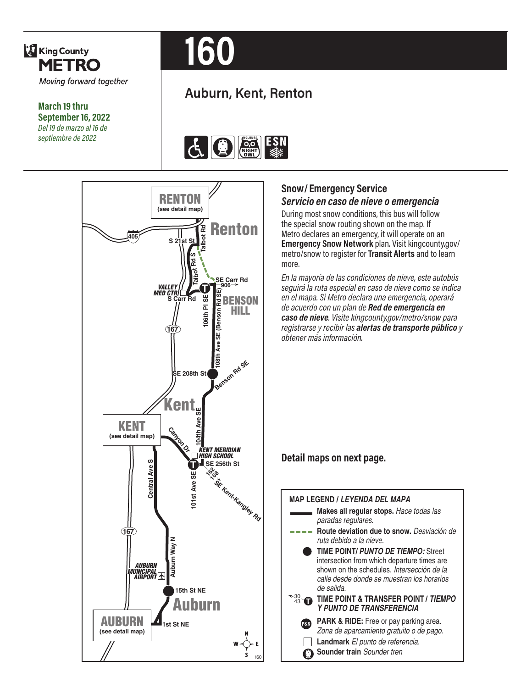

**March 19 thru September 16, 2022** *Del 19 de marzo al 16 de septiembre de 2022*

# **160**

### **Auburn, Kent, Renton**







#### **Snow/Emergency Service** *Servicio en caso de nieve o emergencia*

the special snow routing shown on the map. If metro/snow to register for **Transit Alerts** and to learn<br>more mere accured an emergency, it in a speake on an<br>**Emergency Snow Network** plan. Visit kingcounty.gov/<br>metro/snow to register for **Transit Alerts** and to learn **During most snow conditions, this bus will follow** Metro declares an emergency, it will operate on an more.

**Burnet**<br>Burnet<br>Burnet<br>Burnet en caso de nieve **106 240 F-Line** *en el mapa. Si Metro declara una emergencia, operará*  **107 148** اتا al<br>**ت**ابا de acuerdo con un plan de **Red de emergencia en**<br>**caso de nieve**. Visite kingcounty.gov/metro/snow p *roría de las condiciones de nieve,<br>1 ruta especial en caso de nieve c<br>1a. Si Metro declara una emergen* **S** *registrarse y recibir las alertas de transporte público y*  **Shattuck**<br>Shah<br>Shahall *En la mayoría de las condiciones de nieve, este autobús seguirá la ruta especial en caso de nieve como se indica caso de nieve. Visite kingcounty.gov/metro/snow para obtener más información.*

## e **Detail maps on next page.**

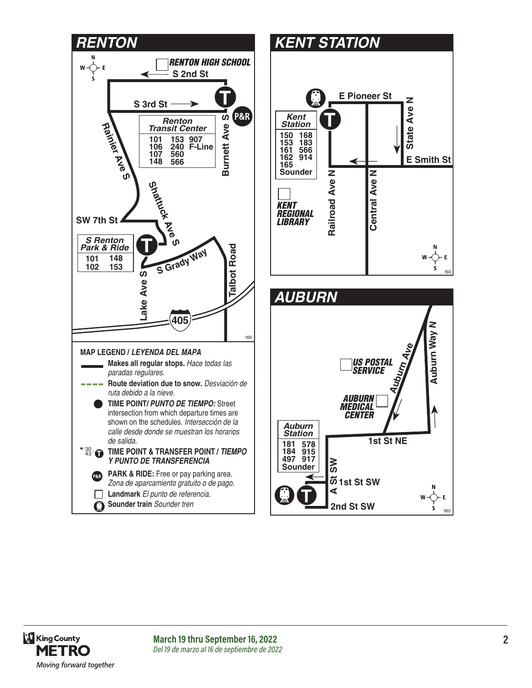





**March 19 thru September 16, 2022 2** *Del 19 de marzo al 16 de septiembre de 2022*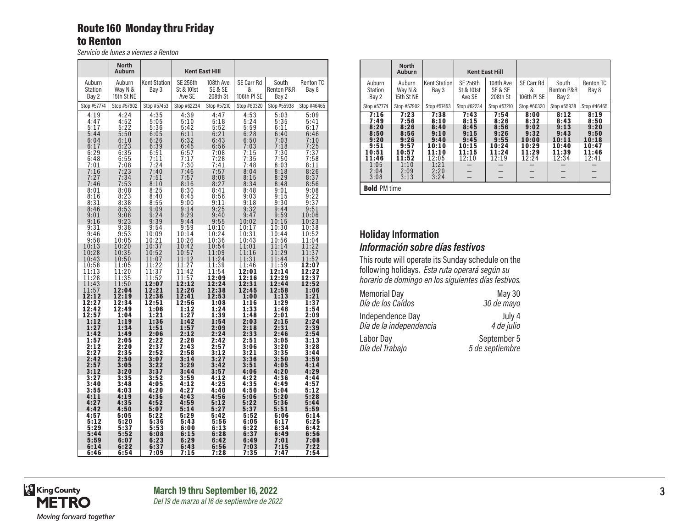#### Route 160 Monday thru Friday to Renton

*Servicio de lunes a viernes a Renton*

|                                   | <b>North</b><br><b>Auburn</b>   |                                |                                         | <b>Kent East Hill</b>            |                                |                              |                           |
|-----------------------------------|---------------------------------|--------------------------------|-----------------------------------------|----------------------------------|--------------------------------|------------------------------|---------------------------|
| Auburn<br><b>Station</b><br>Bay 2 | Auburn<br>Way N &<br>15th St NE | <b>Kent Station</b><br>Bay 3   | <b>SE 256th</b><br>St & 101st<br>Ave SE | 108th Ave<br>SE & SE<br>208th St | SE Carr Rd<br>&<br>106th PI SE | South<br>Renton P&R<br>Bay 2 | <b>Renton TC</b><br>Bay 8 |
| Stop #57774                       | Stop #57902                     | Stop #57453                    | Stop #62234                             | Stop #57210                      | Stop #60320                    | Stop #55938                  | Stop #46465               |
| 4:19                              | 4:24                            | 4:35                           | 4:39                                    | 4:47                             | 4:53                           | 5:03                         | 5:09                      |
| 4:47                              | 4:52                            | 5:05                           | 5:10                                    | 5:18                             | 5:24                           | 5:35                         | 5:41                      |
| 5:17                              | 5:22                            | 5:36                           | 5:42                                    | 5:52                             | 5:59                           | 6:11                         | 6:17                      |
| 5:44                              | 5:50                            | 6:05                           | 6:11                                    | 6:21                             | 6:28                           | 6:40                         | 6:46                      |
| 6:04                              | 6:10                            | 6:26                           | 6:32                                    | 6:43                             | 6:50                           | 7:03                         | 7:10                      |
| 6:17                              | 6:23                            | 6:39                           | 6:45                                    | 6:56                             | 7:03                           | 7:18                         | 7:25                      |
| 6:29                              | 6:35                            | 6:51                           | 6:57                                    | 7:08                             | 7:15                           | 7:30                         | 7:37                      |
| 6:48                              | 6:55                            | 7:11                           | 7:17                                    | 7:28                             | 7:35                           | 7:50                         | 7:58                      |
| 7:01                              | 7:08                            | 7:24                           | 7:30                                    | 7:41                             | 7:48                           | 8:03                         | 8:11                      |
| 7:16                              | 7:23                            | 7:40                           | 7:46                                    | 7:57                             | 8:04                           | 8:18                         | 8:26                      |
| 7:27                              | 7:34                            | 7:51                           | 7:57                                    | 8:08                             | 8:15                           | 8:29                         | 8:37                      |
| 7:46                              | 7:53                            | 8:10                           | 8:16                                    | 8:27                             | 8:34                           | 8:48                         | 8:56                      |
| 8:01                              | 8:08                            | 8:25                           | 8:30                                    | 8:41                             | 8:48                           | 9:01                         | 9:08                      |
| 8:16                              | 8:23                            | 8:40                           | 8:45                                    | 8:56                             | 9:03                           | 9:15                         | 9:22                      |
| 8:31                              | 8:38                            | 8:55                           | 9:00                                    | 9:11                             | 9:18                           | 9:30                         | 9:37                      |
| 8:46                              | 8:53                            | 9:09                           | 9:14                                    | 9:25                             | 9:32                           | 9:44                         | 9:51                      |
| 9:01                              | 9:08                            | 9:24                           | 9:29                                    | 9:40                             | 9:47                           | 9:59                         | 10:06                     |
| 9:16                              | 9:23                            | 9:39                           | 9:44                                    | 9:55                             | 10:02                          | 10:15                        | 10:23                     |
| 9:31<br>9:46<br>9:58              | 9:38<br>9:53<br>10:05           | 9:54<br>10:09<br>10:21         | $\frac{9:59}{10:14}$<br>10:26           | 10:10<br>10:24<br>10:36          | 10:17<br>10:31<br>10:43        | 10:30<br>10:44<br>10:56      | 10:38<br>10:52<br>11:04   |
| 10:13                             | 10:20                           | 10:37                          | 10:42                                   | 10:54                            | 11:01                          | 11:14                        | 11:22                     |
| 10:28                             | 10:35                           | 10:52                          | 10:57                                   | 11:09                            | 11:16                          | 11:29                        | 11:37                     |
| 10:43                             | 10:50                           | 11:07                          | 11:12                                   | 11:24                            | 11:31                          | 11:44                        | 11:52                     |
| 10:58<br>11:13<br>11:28           | 11:05<br>11:20<br>11:35         | $\frac{11:22}{11:37}$<br>11:52 | 11:27<br>11:42<br>11:57                 | 11:39<br>11:54<br>12:09          | 11:46<br>12:01<br>12:16        | 11:59<br>12:14<br>12:29      | 12:07<br>12:22<br>12:37   |
| 11:43                             | 11:50                           | 12:07                          | 12:12                                   | 12:24                            | 12:31                          | 12:44                        | 12:52                     |
| 11:57                             | 12:04                           | 12:21                          | 12:26                                   | 12:38                            | 12:45                          | 12:58                        | 1:06                      |
| 12:12                             | 12:19                           | 12:36                          | 12:41                                   | 12:53                            | 1:00                           | 1:13                         | 1:21                      |
| 12:27                             | 12:34                           | 12:51                          | 12:56                                   | 1:08                             | 1:16                           | 1:29                         | 1:37                      |
| 12:42                             | 12:49                           | 1:06                           | 1:12                                    | 1:24                             | 1:33                           | 1:46                         | 1:54                      |
| 12:57                             | 1:04                            | 1:21                           | 1:27                                    | 1:39                             | 1:48                           | 2:01                         | 2:09                      |
| 1:12                              | 1:19                            | 1:36                           | 1:42                                    | 1:54                             | 2:03                           | 2:16                         | 2:24                      |
| 1:27                              | 1:34                            | 1:51                           | 1:57                                    | 2:09                             | 2:18                           | 2:31                         | 2:39                      |
| 1:42                              | 1:49                            | 2:06                           | 2:12                                    | 2:24                             | 2:33                           | 2:46                         | 2:54                      |
| 1:57                              | 2:05                            | 2:22                           | 2:28                                    | 2:42                             | 2:51                           | 3:05                         | 3:13                      |
| 2:12                              | 2:20                            | 2:37                           | 2:43                                    | 2:57                             | 3:06                           | 3:20                         | 3:28                      |
| 2:27                              | 2:35                            | 2:52                           | 2:58                                    | 3:12                             | 3:21                           | 3:35                         | 3:44                      |
| 2:42                              | 2:50                            | 3:07                           | 3:14                                    | 3:27                             | 3:36                           | 3:50                         | 3:59                      |
| 2:57                              | 3:05                            | 3:22                           | 3:29                                    | 3:42                             | 3:51                           | 4:05                         | 4:14                      |
| 3:12                              | 3:20                            | 3:37                           | 3:44                                    | 3:57                             | 4:06                           | 4:20                         | 4:29                      |
| 3:27                              | 3:35                            | 3:52                           | 3:59                                    | 4:12                             | 4:22                           | 4:36                         | 4:44                      |
| 3:40                              | 3:48                            | 4:05                           | 4:12                                    | 4:25                             | 4:35                           | 4:49                         | 4:57                      |
| 3:55                              | 4:03                            | 4:20                           | 4:27                                    | 4:40                             | 4:50                           | 5:04                         | 5:12                      |
| 4:11                              | 4:19                            | 4:36                           | 4:43                                    | 4:56                             | 5:06                           | 5:20                         | 5:28                      |
| 4:27                              | 4:35                            | 4:52                           | 4:59                                    | 5:12                             | 5:22                           | 5:36                         | 5:44                      |
| 4:42                              | 4:50                            | 5:07                           | 5:14                                    | 5:27                             | 5:37                           | 5:51                         | 5:59                      |
| 4:57                              | 5:05                            | 5:22                           | 5:29                                    | 5:42                             | 5:52                           | 6:06                         | 6:14                      |
| 5:12                              | 5:20                            | 5:36                           | 5:43                                    | 5:56                             | 6:05                           | 6:17                         | 6:25                      |
| 5:29                              | 5:37                            | 5:53                           | 6:00                                    | 6:13                             | 6:22                           | 6:34                         | 6:42                      |
| 5:44                              | 5:52                            | 6:08                           | 6:15                                    | 6:28                             | 6:37                           | 6:49                         | 6:56                      |
| 5:59                              | 6:07                            | 6:23                           | 6:29                                    | 6:42                             | 6:49                           | 7:01                         | 7:08                      |
| 6:14                              | 6:22                            | 6:37                           | 6:43                                    | 6:56                             | 7:03                           | 7:15                         | 7:22                      |
| 6:46                              | 6:54                            | 7:09                           | 7:15                                    | 7:28                             | 7:35                           | 7:47                         | 7:54                      |

|                                                                                        | <b>North</b><br><b>Auburn</b>                                                          |                                                                                         | <b>Kent East Hill</b>                                           |                                                                 |                                                                  |                                                                  |                                                                       |
|----------------------------------------------------------------------------------------|----------------------------------------------------------------------------------------|-----------------------------------------------------------------------------------------|-----------------------------------------------------------------|-----------------------------------------------------------------|------------------------------------------------------------------|------------------------------------------------------------------|-----------------------------------------------------------------------|
| Auburn<br>Station<br>Bay 2                                                             | Auburn<br>Way N &<br>15th St NE                                                        | Kent Station<br>Bay 3                                                                   | <b>SE 256th</b><br>St & 101st<br>Ave SE                         | 108th Ave<br>SE & SE<br>208th St                                | SE Carr Rd<br>&<br>106th PI SE                                   | South<br>Renton P&R<br>Bay 2                                     | <b>Renton TC</b><br>Bay 8                                             |
| Stop #57774                                                                            | Stop #57902                                                                            | Stop #57453                                                                             | Stop #62234                                                     | Stop #57210                                                     | Stop #60320                                                      | Stop #55938                                                      | Stop #46465                                                           |
| 7:16<br>7:49<br>8:20<br>8:50<br>9:20<br>9:51<br>10:51<br>11:46<br>1:05<br>2:04<br>3:08 | 7:23<br>7:56<br>8:26<br>8:56<br>9:26<br>9:57<br>10:57<br>11:52<br>1:10<br>2:09<br>3:13 | 7:38<br>8:10<br>8:40<br>9:10<br>9:40<br>10:10<br>11:10<br>12:05<br>1:21<br>2:20<br>3:24 | 7:43<br>8:15<br>8:45<br>9:15<br>9:45<br>10:15<br>11:15<br>12:10 | 7:54<br>8:26<br>8:56<br>9:26<br>9:55<br>10:24<br>11:24<br>12:19 | 8:00<br>8:32<br>9:02<br>9:32<br>10:00<br>10:29<br>11:29<br>12:24 | 8:12<br>8:43<br>9:13<br>9:43<br>10:11<br>10:40<br>11:39<br>12:34 | 8:19<br>8:50<br>9:20<br>9:50<br>10:18<br>10:47<br>11:46<br>12:41<br>— |
| <b>Bold PM time</b>                                                                    |                                                                                        |                                                                                         |                                                                 |                                                                 |                                                                  |                                                                  |                                                                       |

#### **Holiday Information** *Información sobre días festivos*

This route will operate its Sunday schedule on the following holidays. *Esta ruta operará según su horario de domingo en los siguientes días festivos.*

| <b>Memorial Day</b>     | May 30          |
|-------------------------|-----------------|
| Día de los Caídos       | 30 de mayo      |
| Independence Day        | July 4          |
| Día de la independencia | 4 de julio      |
| Labor Day               | September 5     |
| Día del Trabajo         | 5 de septiembre |

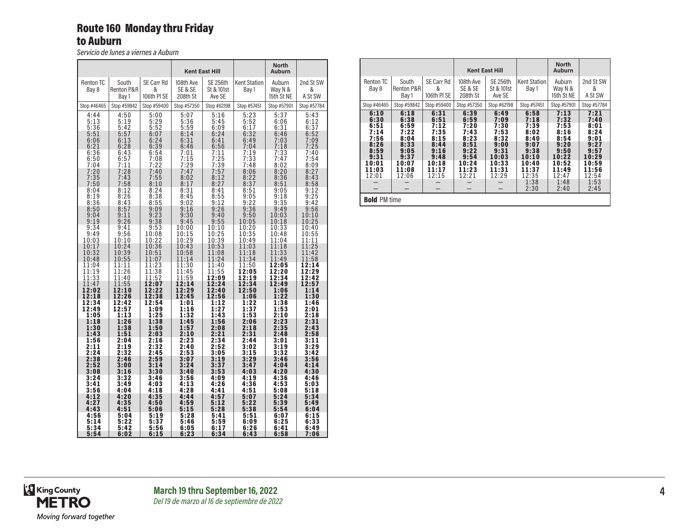#### Route 160 Monday thru Friday to Auburn

*Servicio de lunes a viernes a Auburn*

|                                           |                                           |                                                  |                                           | <b>Kent East Hill</b>                     |                                           | <b>North</b><br>Auburn                           |                                           |
|-------------------------------------------|-------------------------------------------|--------------------------------------------------|-------------------------------------------|-------------------------------------------|-------------------------------------------|--------------------------------------------------|-------------------------------------------|
| <b>Renton TC</b><br>Bay 8                 | South<br>Renton P&R<br>Bay 1              | SE Carr Rd<br>&<br>106th PI SE                   | 108th Ave<br>SE & SE<br>208th St          | <b>SE 256th</b><br>St & 101st<br>Ave SE   | <b>Kent Station</b><br>Bay 1              | Auburn<br>Way N &<br>15th St NE                  | 2nd St SW<br>&<br>A St SW                 |
| Stop #46465                               | Stop #59842                               | Stop #59400                                      | Stop #57350                               | Stop #62198                               | Stop #57451                               | Stop #57901                                      | Stop #57784                               |
| 4:44<br>5:13<br>5:36<br>5:51<br>6:06      | 4:50<br>5:19<br>5:42<br>5:57<br>6:13      | 5:00<br>5:29<br>5:52<br>6:07<br>6:24             | 5:07<br>5:36<br>5:59<br>6:14<br>6:31      | 5:16<br>5:45<br>6:09<br>6:24<br>6:41      | 5:23<br>5:52<br>6:17<br>6:32<br>6:49      | 5:37<br>6:06<br>6:31<br>6:46<br>7:03             | 5:43<br>6:12<br>6:37<br>6:52<br>7:09      |
| 6:21<br>6:36<br>6:50<br>7:04<br>7:20      | 6:28<br>6:43<br>6:57<br>7:11<br>7:28      | 6:39<br>6:54<br>7:08<br>7:22<br>7:40             | 6:46<br>7:01<br>7:15<br>7:29<br>7:47      | 6:56<br>7:11<br>$7:25$<br>$7:39$<br>7:57  | 7:04<br>7:19<br>7:33<br>7:48<br>8:06      | 7:18<br>7:33<br>7:47<br>8:02<br>$8:20$<br>$8:36$ | 7:25<br>7:40<br>7:54<br>8:09<br>8:27      |
| 7:35<br>7:50<br>8:04<br>8:19              | 7:43<br>7:58<br>8:12<br>8:26<br>8:43      | 7:55<br>8:10<br>8:24<br>8:38<br>8:55             | 8:02<br>8:17<br>8:31<br>8:45<br>9:02      | 8:12<br>8:27<br>8:41<br>8:55<br>9:12      | 8:22<br>8:37<br>8:51<br>9:05<br>9:22      | 8:51<br>9:05<br>9:18<br>9:35                     | 8:43<br>8:58<br>9:12<br>9:25<br>9:42      |
| 8:36<br>8:50<br>9:04<br>9:19<br>9:34      | 8:57<br>9:11<br>9:26<br>9:41              | 9:09<br>9:23<br>9:38<br>9:53                     | 9:16<br>9:30<br>9:45<br>10:00             | 9:26<br>9:40<br>9:55<br>10:10             | 9:36<br>9:50<br>10:05<br>10:20            | 9:49<br>10:03<br>10:18<br>10:33                  | 9:56<br>10:10<br>10:25<br>10:40           |
| 9:49<br>10:03<br>10:17<br>10:32           | 9:56<br>10:10<br>10:24<br>10:39           | 10:08<br>10:22<br>10:36<br>10:51                 | 10:15<br>10:29<br>10:43<br>10:58          | 10:25<br>10:39<br>10:53<br>11:08          | 10:35<br>10:49<br>11:03<br>11:18          | 10:48<br>11:04<br>11:18<br>11:33                 | 10:55<br>11:11<br>11:25<br>11:42          |
| 10:48<br>11:04<br>11:19<br>11:33<br>11:47 | 10:55<br>11:11<br>11:26<br>11:40<br>11:55 | 11:07<br>$\frac{11:23}{11:38}$<br>11:52<br>12:07 | 11:14<br>11:30<br>11:45<br>11:59<br>12:14 | 11:24<br>11:40<br>11:55<br>12:09<br>12:24 | 11:34<br>11:50<br>12:05<br>12:19<br>12:34 | 11:49<br>12:05<br>12:20<br>12:34<br>12:49        | 11:58<br>12:14<br>12:29<br>12:42<br>12:57 |
| 12:02<br>12:18<br>12:34<br>12:49          | 12:10<br>12:26<br>12:42<br>12:57          | 12:22<br>12:38<br>12:54                          | 12:29<br>12:45<br>1:01                    | 12:40<br>12:56<br>1:12<br>1:27            | 12:50<br>1:06<br>1:22<br>1:37             | 1:06<br>1:22<br>1:38                             | 1:14<br>1:30<br>1:46                      |
| 1:05<br>1:18<br>1:30<br>1:43              | 1:13<br>1:26<br>1:38<br>1:51              | 1:09<br>1:25<br>1:38<br>1:50<br>2:03             | 1:16<br>1:32<br>1:45<br>1:57<br>2:10      | 1:43<br>1:56<br>2:08<br>2:21              | 1:53<br>2:06<br>2:18<br>2:31              | 1:53<br>2:10<br>2:23<br>2:35<br>2:48             | 2:01<br>2:18<br>2:31<br>2:43<br>2:58      |
| 1:56<br>2:11<br>2:24<br>2:38              | 2:04<br>2:19<br>2:32<br>2:46              | 2:16<br>2:32<br>2:45<br>2:59                     | 2:23<br>2:40<br>2:53<br>3:07              | 2:34<br>2:52<br>3:05<br>3:19              | 2:44<br>3:02<br>3:15<br>3:29              | 3:01<br>3:19<br>3:32<br>3:46                     | 3:11<br>3:29<br>3:42<br>3:56              |
| 2:52<br>3:08<br>3:24                      | 3:00<br>3:16<br>3:32                      | 3:14<br>3:30<br>3:46                             | 3:24<br>3:40<br>3:56                      | 3:37<br>3:53<br>4:09                      | 3:47<br>4:03<br>4:19                      | 4:04<br>4:20<br>4:36                             | 4:14<br>4:30<br>4:46                      |
| 3:41<br>3:56<br>4:12<br>4:27              | 3:49<br>4:04<br>4:20<br>4:35              | 4:03<br>4:18<br>4:35<br>4:50                     | 4:13<br>4:28<br>4:44<br>4:59              | 4:26<br>4:41<br>4:57<br>5:12              | 4:36<br>4:51<br>5:07<br>5:22              | 4:53<br>5:08<br>5:24<br>5:39                     | 5:03<br>5:18<br>5:34<br>5:49              |
| 4:43<br>4:56<br>5:14<br>5:34<br>5:54      | 4:51<br>5:04<br>5:22<br>5:42<br>6:02      | 5:06<br>5:19<br>5:37<br>5:56<br>6:15             | 5:15<br>5:28<br>5:46<br>6:05<br>6:23      | 5:28<br>5:41<br>5:59<br>6:17<br>6:34      | 5:38<br>5:51<br>6:09<br>6:26<br>6:43      | 5:54<br>6:07<br>6:25<br>6:41<br>6:58             | 6:04<br>6:15<br>6:33<br>6:49<br>7:06      |

|                                                                                         |                                                                                         | <b>Kent East Hill</b>                                                                   |                                                                                         |                                                                                          | <b>North</b><br><b>Auburn</b>                                                                            |                                                                                                          |                                                                                                          |  |
|-----------------------------------------------------------------------------------------|-----------------------------------------------------------------------------------------|-----------------------------------------------------------------------------------------|-----------------------------------------------------------------------------------------|------------------------------------------------------------------------------------------|----------------------------------------------------------------------------------------------------------|----------------------------------------------------------------------------------------------------------|----------------------------------------------------------------------------------------------------------|--|
| <b>Renton TC</b><br>Bay 8                                                               | South<br>Renton P&R<br>Bay 1                                                            | SE Carr Rd<br>&<br>106th PI SE                                                          | 108th Ave<br>SE & SE<br>208th St                                                        | SE 256th<br>St & 101st<br>Ave SE                                                         | <b>Kent Station</b><br>Bay 1                                                                             | Auburn<br>Way N &<br>15th St NE                                                                          | 2nd St SW<br>&<br>A St SW                                                                                |  |
| Stop #46465                                                                             | Stop #59842                                                                             | Stop #59400                                                                             | Stop #57350                                                                             | Stop #62198                                                                              | Stop #57451                                                                                              | Stop #57901                                                                                              | Stop #57784                                                                                              |  |
| 6:10<br>6:30<br>6:51<br>7:14<br>7:56<br>8:26<br>8:59<br>9:31<br>10:01<br>11:03<br>12:01 | 6:18<br>6:38<br>6:59<br>7:22<br>8:04<br>8:33<br>9:05<br>9:37<br>10:07<br>11:08<br>12:06 | 6:31<br>6:51<br>7:12<br>7:35<br>8:15<br>8:44<br>9:16<br>9:48<br>10:18<br>11:17<br>12:15 | 6:39<br>6:59<br>7:20<br>7:43<br>8:23<br>8:51<br>9:22<br>9:54<br>10:24<br>11:23<br>12:21 | 6:49<br>7:09<br>7:30<br>7:53<br>8:32<br>9:00<br>9:31<br>10:03<br>10:33<br>11:31<br>12:29 | 6:58<br>7:18<br>7:39<br>8:02<br>8:40<br>9:07<br>9:38<br>10:10<br>10:40<br>11:37<br>12:35<br>1:38<br>2:30 | 7:13<br>7:32<br>7:53<br>8:16<br>8:54<br>9:20<br>9:50<br>10:22<br>10:52<br>11:49<br>12:47<br>1:48<br>2:40 | 7:21<br>7:40<br>8:01<br>8:24<br>9:01<br>9:27<br>9:57<br>10:29<br>10:59<br>11:56<br>12:54<br>1:53<br>2:45 |  |
| <b>Bold PM time</b>                                                                     |                                                                                         |                                                                                         |                                                                                         |                                                                                          |                                                                                                          |                                                                                                          |                                                                                                          |  |

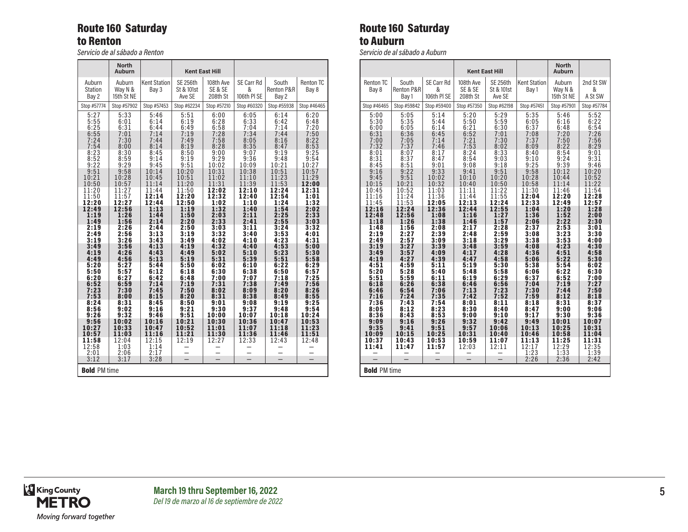#### Route 160 Saturday to Renton

*Servicio de al sábado a Renton*

|                            | <b>North</b><br>Auburn          |                              |                                         | <b>Kent East Hill</b>            |                                |                              |                    |
|----------------------------|---------------------------------|------------------------------|-----------------------------------------|----------------------------------|--------------------------------|------------------------------|--------------------|
| Auburn<br>Station<br>Bay 2 | Auburn<br>Way N &<br>15th St NE | <b>Kent Station</b><br>Bay 3 | <b>SE 256th</b><br>St & 101st<br>Ave SE | 108th Ave<br>SE & SE<br>208th St | SE Carr Rd<br>&<br>106th PI SE | South<br>Renton P&R<br>Bay 2 | Renton TC<br>Bay 8 |
| Stop #57774                | Stop #57902                     | Stop #57453                  | Stop #62234                             | Stop #57210                      | Stop #60320                    | Stop #55938                  | Stop #46465        |
| 5:27                       | 5:33                            | 5:46                         | 5:51                                    | 6:00                             | 6:05                           | 6:14                         | 6:20               |
| 5:55                       | 6:01                            | 6:14                         | 6:19                                    | 6:28                             | 6:33                           | 6:42                         | 6:48               |
| 6:25                       | 6:31                            | 6:44                         | 6:49                                    | 6:58                             | 7:04                           | 7:14                         | 7:20               |
| 6:55                       | 7:01                            | 7:14                         | 7:19                                    | 7:28                             | 7:34                           | 7:44                         | 7:50               |
| 7:24                       | 7:30                            | 7:44                         | 7:49                                    | 7:58                             | 8:05                           | 8:16                         | 8:22               |
| 7:54                       | 8:00                            | 8:14                         | 8:19                                    | 8:28                             | 8:35                           | 8:47                         | 8:53               |
| 8:23                       | 8:30                            | 8:45                         | 8:50                                    | 9:00                             | 9:07                           | 9:19                         | 9:25               |
| 8:52                       | 8:59                            | 9:14                         | 9:19                                    | 9:29                             | 9:36                           | 9:48                         | 9:54               |
| 9:22                       | 9:29                            | 9:45                         | 9:51                                    | 10:02                            | 10:09                          | 10:21                        | 10:27              |
| 9:51                       | 9:58                            | 10:14                        | 10:20                                   | 10:31                            | 10:38                          | 10:51                        | 10:57              |
| 10:21                      | 10:28                           | 10:45                        | 10:51                                   | 11:02                            | 11:10                          | 11:23                        | 11:29              |
| 10:50                      | 10:57                           | 11:14                        | 11:20                                   | 11:31                            | 11:39                          | 11:53                        | 12:00              |
| 11:20                      | 11:27                           | 11:44                        | 11:50                                   | 12:02                            | 12:10                          | 12:24                        | 12:31              |
| 11:50                      | 11:57                           | 12:14                        | 12:20                                   | 12:32                            | 12:40                          | 12:54                        | 1:01               |
| 12:20                      | 12:27                           | 12:44                        | 12:50                                   | 1:02                             | 1:10                           | 1:24                         | 1:32               |
| 12:49                      | 12:56                           | 1:13                         | 1:19                                    | 1:32                             | 1:40                           | 1:54                         | 2:02               |
| 1:19                       | 1:26                            | 1:44                         | 1:50                                    | 2:03                             | 2:11                           | 2:25                         | 2:33               |
| 1:49                       | 1:56                            | 2:14                         | 2:20                                    | 2:33                             | 2:41                           | 2:55                         | 3:03               |
| 2:19                       | 2:26                            | 2:44                         | 2:50                                    | 3:03                             | 3:11                           | 3:24                         | 3:32               |
| 2:49                       | 2:56                            | 3:13                         | 3:19                                    | 3:32                             | 3:40                           | 3:53                         | 4:01               |
| 3:19                       | 3:26                            | 3:43                         | 3:49                                    | 4:02                             | 4:10                           | 4:23                         | 4:31               |
| 3:49                       | 3:56                            | 4:13                         | 4:19                                    | 4:32                             | 4:40                           | 4:53                         | 5:00               |
| 4:19                       | 4:26                            | 4:43                         | 4:49                                    | 5:02                             | 5:10                           | 5:23                         | 5:30               |
| 4:49                       | 4:56                            | 5:13                         | 5:19                                    | 5:31                             | 5:39                           | 5:51                         | 5:58               |
| 5:20                       | 5:27                            | 5:44                         | 5:50                                    | 6:02                             | 6:10                           | 6:22                         | 6:29               |
| 5:50                       | 5:57                            | 6:12                         | 6:18                                    | 6:30                             | 6:38                           | 6:50                         | 6:57               |
| 6:20                       | 6:27                            | 6:42                         | 6:48                                    | 7:00                             | 7:07                           | 7:18                         | 7:25               |
| 6:52                       | 6:59                            | 7:14                         | 7:19                                    | 7:31                             | 7:38                           | 7:49                         | 7:56               |
| 7:23                       | 7:30                            | 7:45                         | 7:50                                    | 8:02                             | 8:09                           | 8:20                         | 8:26               |
| 7:53                       | 8:00                            | 8:15                         | 8:20                                    | 8:31                             | 8:38                           | 8:49                         | 8:55               |
| 8:24                       | 8:31                            | 8:45                         | 8:50                                    | 9:01                             | 9:08                           | 9:19                         | 9:25               |
| 8:56                       | 9:02                            | 9:16                         | 9:21                                    | 9:30                             | 9:37                           | 9:48                         | 9:54               |
| 9:26                       | 9:32                            | 9:46                         | 9:51                                    | 10:00                            | 10:07                          | 10:18                        | 10:24              |
| 9:56                       | 10:02                           | 10:16                        | 10:21                                   | 10:30                            | 10:36                          | 10:47                        | 10:53              |
| 10:27                      | 10:33                           | 10:47                        | 10:52                                   | 11:01                            | 11:07                          | 11:18                        | 11:23              |
| 10:57                      | 11:03                           | 11:16                        | 11:21                                   | 11:30                            | 11:36                          | 11:46                        | 11:51              |
| 11:58<br>12:58<br>2:01     | 12:04<br>1:03<br>2:06           | 12:15<br>1:14<br>2:17        | 12:19<br>$\overline{\phantom{0}}$       | 12:27                            | 12:33                          | 12:43                        | 12:48<br>⋍         |
| 3:12                       | 3:17                            | 3:28                         |                                         |                                  |                                |                              |                    |
| <b>Bold PM time</b>        |                                 |                              |                                         |                                  |                                |                              |                    |

#### Route 160 Saturday to Auburn

*Servicio de al sábado a Auburn*

|                                                                          |                                                                          |                                                                      | <b>Kent East Hill</b>                                                    |                                                                          | <b>North</b><br><b>Auburn</b>                                              |                                                                      |                                                                      |  |  |
|--------------------------------------------------------------------------|--------------------------------------------------------------------------|----------------------------------------------------------------------|--------------------------------------------------------------------------|--------------------------------------------------------------------------|----------------------------------------------------------------------------|----------------------------------------------------------------------|----------------------------------------------------------------------|--|--|
| <b>Renton TC</b><br>Bay 8                                                | South<br><b>Renton P&amp;R</b><br>Bay 1                                  | SE Carr Rd<br>&<br>106th PI SE                                       | 108th Ave<br>SE & SE<br>208th St                                         | <b>SE 256th</b><br>St & 101st<br>Ave SE                                  | <b>Kent Station</b><br>Bay 1                                               | Auburn<br>Way N &<br>15th St NE                                      | 2nd St SW<br>&<br>A St SW                                            |  |  |
| Stop #46465                                                              | Stop #59842                                                              | Stop #59400                                                          | Stop #57350                                                              | Stop #62198                                                              | Stop #57451                                                                | Stop #57901                                                          | Stop #57784                                                          |  |  |
| 5:00<br>5:30<br>6:00<br>6:31<br>$7:00$<br>$7:32$<br>8:01<br>8:31<br>8:45 | 5:05<br>5:35<br>6:05<br>6:36<br>$7:05$<br>$7:37$<br>8:07<br>8:37<br>8:51 | 5:14<br>5:44<br>6:14<br>6:45<br>7:14<br>7:46<br>8:17<br>8:47<br>9:01 | 5:20<br>5:50<br>6:21<br>6:52<br>$7:21$<br>$7:53$<br>8:24<br>8:54<br>9:08 | 5:29<br>5:59<br>6:30<br>7:01<br>7:30<br>8:02<br>8:33<br>$9:03$<br>$9:18$ | 5:35<br>6:05<br>6:37<br>$7:08$<br>$7:37$<br>$8:09$<br>8:40<br>9:10<br>9:25 | 5:46<br>6:16<br>6:48<br>7:20<br>7:50<br>8:22<br>8:54<br>9:24<br>9:39 | 5:52<br>6:22<br>6:54<br>7:26<br>7:56<br>8:29<br>9:01<br>9:31<br>9:46 |  |  |
| 9:16                                                                     | 9:22                                                                     | 9:33                                                                 | 9:41                                                                     | 9:51                                                                     | 9:58                                                                       | 10:12                                                                | 10:20                                                                |  |  |
| 9:45                                                                     | 9:51                                                                     | 10:02                                                                | 10:10                                                                    | 10:20                                                                    | 10:28                                                                      | 10:44                                                                | 10:52                                                                |  |  |
| 10:15                                                                    | 10:21                                                                    | 10:32                                                                | 10:40                                                                    | 10:50                                                                    | 10:58                                                                      | 11:14                                                                | 11:22                                                                |  |  |
| 10:45                                                                    | 10:52                                                                    | 11:03                                                                | 11:11                                                                    | 11:22                                                                    | 11:30                                                                      | 11:46                                                                | 11:54                                                                |  |  |
| 11:16                                                                    | 11:24                                                                    | 11:36                                                                | 11:44                                                                    | 11:55                                                                    | 12:04                                                                      | 12:20                                                                | 12:28                                                                |  |  |
| 11:45                                                                    | 11:53                                                                    | 12:05                                                                | 12:13                                                                    | 12:24                                                                    | 12:33                                                                      | 12:49                                                                | 12:57                                                                |  |  |
| 12:16                                                                    | 12:24                                                                    | 12:36                                                                | 12:44                                                                    | 12:55                                                                    | 1:04                                                                       | 1:20                                                                 | 1:28                                                                 |  |  |
| 12:48                                                                    | 12:56                                                                    | 1:08                                                                 | 1:16                                                                     | 1:27                                                                     | 1:36                                                                       | 1:52                                                                 | 2:00                                                                 |  |  |
| 1:18                                                                     | 1:26                                                                     | 1:38                                                                 | 1:46                                                                     | 1:57                                                                     | 2:06                                                                       | 2:22                                                                 | 2:30                                                                 |  |  |
| 1:48                                                                     | 1:56                                                                     | 2:08                                                                 | 2:17                                                                     | 2:28                                                                     | 2:37                                                                       | 2:53                                                                 | 3:01                                                                 |  |  |
| 2:19                                                                     | 2:27                                                                     | 2:39                                                                 | 2:48                                                                     | 2:59                                                                     | 3:08                                                                       | 3:23                                                                 | 3:30                                                                 |  |  |
| 2:49                                                                     | 2:57                                                                     | 3:09                                                                 | 3:18                                                                     | 3:29                                                                     | 3:38                                                                       | 3:53                                                                 | 4:00                                                                 |  |  |
| 3:19                                                                     | 3:27                                                                     | 3:39                                                                 | 3:48                                                                     | 3:59                                                                     | 4:08                                                                       | 4:23                                                                 | 4:30                                                                 |  |  |
| 3:49                                                                     | 3:57                                                                     | 4:09                                                                 | 4:17                                                                     | 4:28                                                                     | 4:36                                                                       | 4:51                                                                 | 4:58                                                                 |  |  |
| 4:19                                                                     | 4:27                                                                     | 4:39                                                                 | 4:47                                                                     | 4:58                                                                     | 5:06                                                                       | 5:22                                                                 | 5:30                                                                 |  |  |
| 4:51                                                                     | 4:59                                                                     | 5:11                                                                 | 5:19                                                                     | 5:30                                                                     | 5:38                                                                       | 5:54                                                                 | 6:02                                                                 |  |  |
| 5:20                                                                     | 5:28                                                                     | 5:40                                                                 | 5:48                                                                     | 5:58                                                                     | 6:06                                                                       | 6:22                                                                 | 6:30                                                                 |  |  |
| 5:51                                                                     | 5:59                                                                     | 6:11                                                                 | 6:19                                                                     | 6:29                                                                     | 6:37                                                                       | 6:52                                                                 | 7:00                                                                 |  |  |
| 6:18                                                                     | 6:26                                                                     | 6:38                                                                 | 6:46                                                                     | 6:56                                                                     | 7:04                                                                       | 7:19                                                                 | 7:27                                                                 |  |  |
| 6:46                                                                     | 6:54                                                                     | 7:06                                                                 | 7:13                                                                     | 7:23                                                                     | 7:30                                                                       | 7:44                                                                 | 7:50                                                                 |  |  |
| 7:16                                                                     | 7:24                                                                     | 7:35                                                                 | 7:42                                                                     | 7:52                                                                     | 7:59                                                                       | 8:12                                                                 | 8:18                                                                 |  |  |
| 7:36                                                                     | 7:43                                                                     | 7:54                                                                 | 8:01                                                                     | 8:11                                                                     | 8:18                                                                       | 8:31                                                                 | 8:37                                                                 |  |  |
| 8:05                                                                     | 8:12                                                                     | 8:23                                                                 | 8:30                                                                     | 8:40                                                                     | 8:47                                                                       | 9:00                                                                 | 9:06                                                                 |  |  |
| 8:36                                                                     | 8:43                                                                     | 8:53                                                                 | 9:00                                                                     | 9:10                                                                     | 9:17                                                                       | 9:30                                                                 | 9:36                                                                 |  |  |
| 9:09                                                                     | 9:16                                                                     | 9:26                                                                 | 9:32                                                                     | 9:42                                                                     | 9:49                                                                       | 10:01                                                                | 10:07                                                                |  |  |
| 9:35                                                                     | 9:41                                                                     | 9:51                                                                 | 9:57                                                                     | 10:06                                                                    | 10:13                                                                      | 10:25                                                                | 10:31                                                                |  |  |
| 10:09                                                                    | 10:15                                                                    | 10:25                                                                | 10:31                                                                    | 10:40                                                                    | 10:46                                                                      | 10:58                                                                | 11:04                                                                |  |  |
| 10:37                                                                    | 10:43                                                                    | 10:53                                                                | 10:59                                                                    | 11:07                                                                    | 11:13                                                                      | 11:25                                                                | 11:31                                                                |  |  |
| 11:41                                                                    | 11:47                                                                    | 11:57                                                                | 12:03                                                                    | 12:11                                                                    | 12:17<br>1:23                                                              | 12:29<br>1:33                                                        | 12:35<br>1:39                                                        |  |  |
|                                                                          |                                                                          | $\overline{\phantom{0}}$                                             |                                                                          |                                                                          | 2:26                                                                       | 2:36                                                                 | 2:42                                                                 |  |  |
|                                                                          | <b>Bold PM time</b>                                                      |                                                                      |                                                                          |                                                                          |                                                                            |                                                                      |                                                                      |  |  |